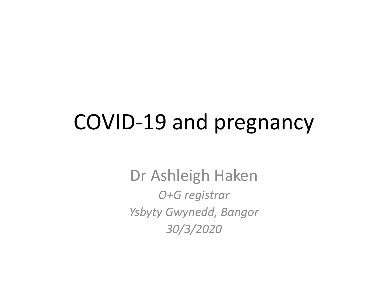#### COVID-19 and pregnancy

Dr Ashleigh Haken *O+G registrar Ysbyty Gwynedd, Bangor 30/3/2020*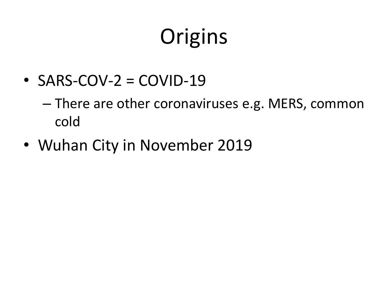# **Origins**

 $\text{-}$  SARS-COV-2 = COVID-19

– There are other coronaviruses e.g. MERS, common cold

• Wuhan City in November 2019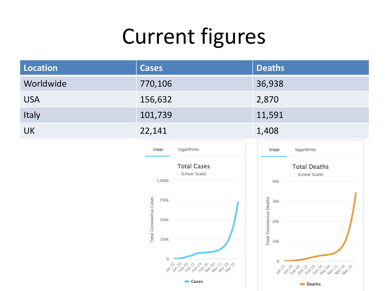# Current figures

| <b>Location</b> | <b>Cases</b>                                    | <b>Deaths</b>                                      |
|-----------------|-------------------------------------------------|----------------------------------------------------|
| Worldwide       | 770,106                                         | 36,938                                             |
| <b>USA</b>      | 156,632                                         | 2,870                                              |
| Italy           | 101,739                                         | 11,591                                             |
| <b>UK</b>       | 22,141                                          | 1,408                                              |
|                 | logarithmic<br>linear                           | linear<br>logarithmic                              |
|                 | <b>Total Cases</b><br>(Linear Scale)<br>1,000k  | <b>Total Deaths</b><br>(Linear Scale)<br>40k       |
|                 | Total Coronavirus Cases<br>750k<br>500k<br>250k | Total Coronavirus Deaths<br>30k<br>20k<br>10k      |
|                 | $\circ$<br>12 12 13 05 12 19 16 08 12 18 15     | $\mathbf 0$<br>12 12 13 05 12 13 16 10 12 13 13 15 |
|                 | <b>■■</b> Cases                                 | <b>Deaths</b>                                      |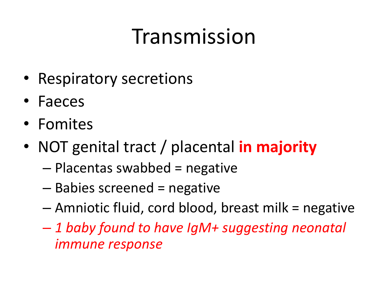## Transmission

- Respiratory secretions
- Faeces
- Fomites
- NOT genital tract / placental **in majority**
	- Placentas swabbed = negative
	- Babies screened = negative
	- Amniotic fluid, cord blood, breast milk = negative
	- *1 baby found to have IgM+ suggesting neonatal immune response*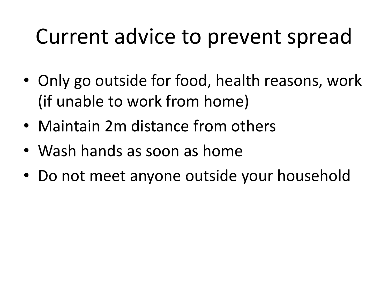### Current advice to prevent spread

- Only go outside for food, health reasons, work (if unable to work from home)
- Maintain 2m distance from others
- Wash hands as soon as home
- Do not meet anyone outside your household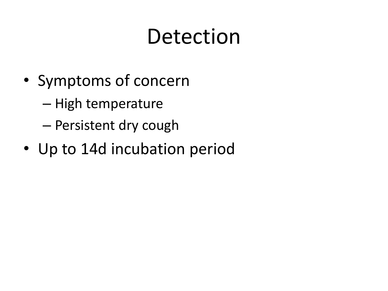## Detection

- Symptoms of concern
	- High temperature
	- Persistent dry cough
- Up to 14d incubation period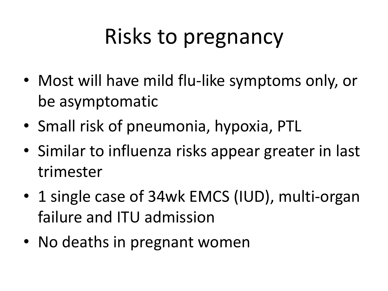# Risks to pregnancy

- Most will have mild flu-like symptoms only, or be asymptomatic
- Small risk of pneumonia, hypoxia, PTL
- Similar to influenza risks appear greater in last trimester
- 1 single case of 34wk EMCS (IUD), multi-organ failure and ITU admission
- No deaths in pregnant women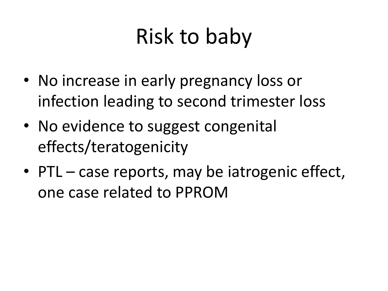# Risk to baby

- No increase in early pregnancy loss or infection leading to second trimester loss
- No evidence to suggest congenital effects/teratogenicity
- PTL case reports, may be iatrogenic effect, one case related to PPROM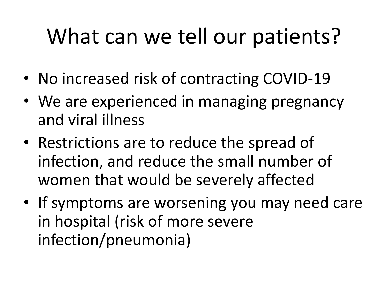# What can we tell our patients?

- No increased risk of contracting COVID-19
- We are experienced in managing pregnancy and viral illness
- Restrictions are to reduce the spread of infection, and reduce the small number of women that would be severely affected
- If symptoms are worsening you may need care in hospital (risk of more severe infection/pneumonia)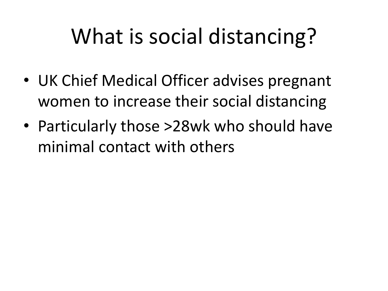# What is social distancing?

- UK Chief Medical Officer advises pregnant women to increase their social distancing
- Particularly those >28wk who should have minimal contact with others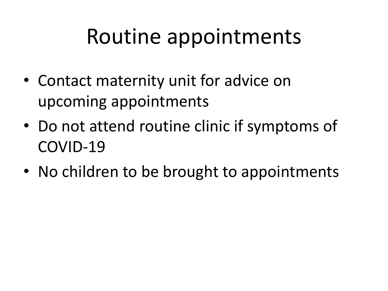### Routine appointments

- Contact maternity unit for advice on upcoming appointments
- Do not attend routine clinic if symptoms of COVID-19
- No children to be brought to appointments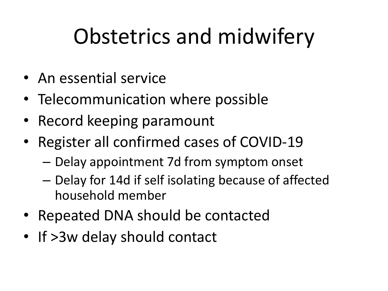# Obstetrics and midwifery

- An essential service
- Telecommunication where possible
- Record keeping paramount
- Register all confirmed cases of COVID-19
	- Delay appointment 7d from symptom onset
	- Delay for 14d if self isolating because of affected household member
- Repeated DNA should be contacted
- If >3w delay should contact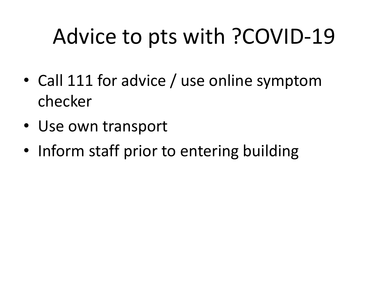# Advice to pts with ?COVID-19

- Call 111 for advice / use online symptom checker
- Use own transport
- Inform staff prior to entering building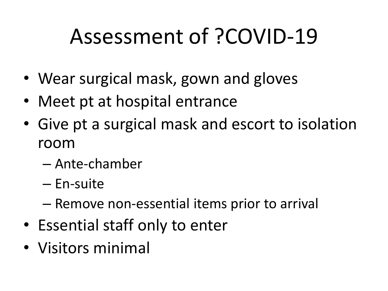# Assessment of ?COVID-19

- Wear surgical mask, gown and gloves
- Meet pt at hospital entrance
- Give pt a surgical mask and escort to isolation room
	- Ante-chamber
	- En-suite
	- Remove non-essential items prior to arrival
- Essential staff only to enter
- Visitors minimal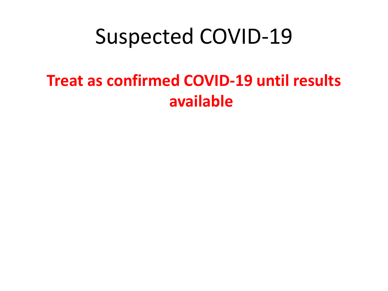#### Suspected COVID-19

#### **Treat as confirmed COVID-19 until results available**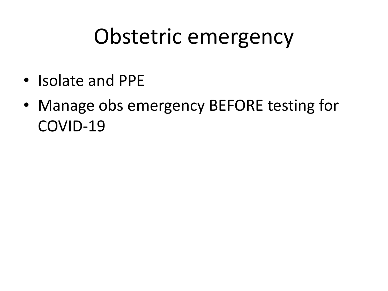#### Obstetric emergency

- Isolate and PPE
- Manage obs emergency BEFORE testing for COVID-19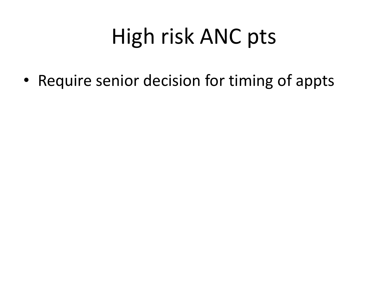# High risk ANC pts

• Require senior decision for timing of appts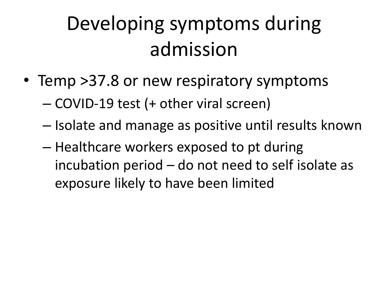#### Developing symptoms during admission

- Temp > 37.8 or new respiratory symptoms
	- COVID-19 test (+ other viral screen)
	- Isolate and manage as positive until results known
	- Healthcare workers exposed to pt during incubation period – do not need to self isolate as exposure likely to have been limited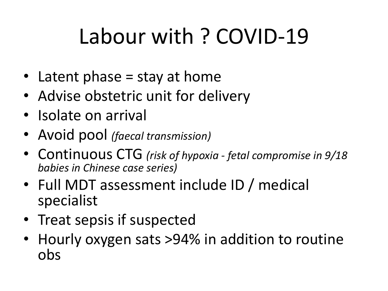# Labour with ? COVID-19

- Latent phase = stay at home
- Advise obstetric unit for delivery
- Isolate on arrival
- Avoid pool *(faecal transmission)*
- Continuous CTG *(risk of hypoxia - fetal compromise in 9/18 babies in Chinese case series)*
- Full MDT assessment include ID / medical specialist
- Treat sepsis if suspected
- Hourly oxygen sats >94% in addition to routine obs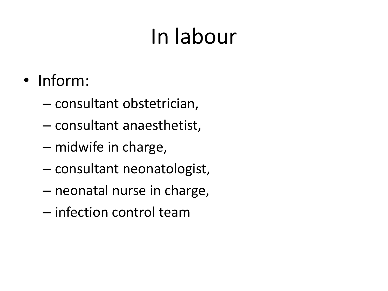# In labour

- Inform:
	- consultant obstetrician,
	- consultant anaesthetist,
	- midwife in charge,
	- consultant neonatologist,
	- neonatal nurse in charge,
	- infection control team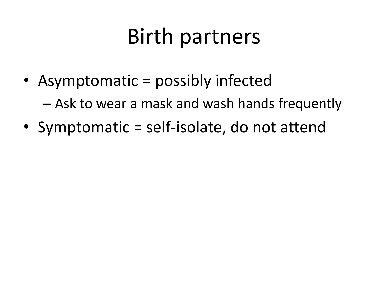#### Birth partners

• Asymptomatic = possibly infected

– Ask to wear a mask and wash hands frequently

• Symptomatic = self-isolate, do not attend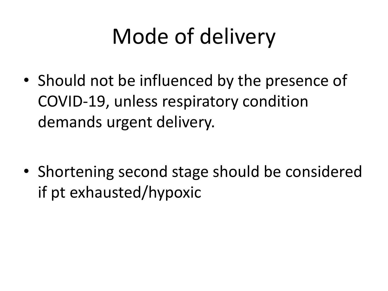# Mode of delivery

• Should not be influenced by the presence of COVID-19, unless respiratory condition demands urgent delivery.

• Shortening second stage should be considered if pt exhausted/hypoxic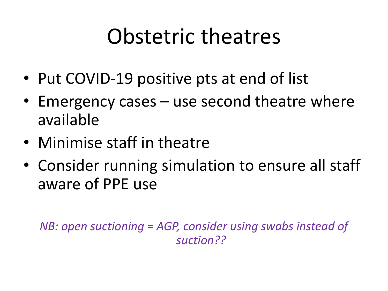#### Obstetric theatres

- Put COVID-19 positive pts at end of list
- Emergency cases use second theatre where available
- Minimise staff in theatre
- Consider running simulation to ensure all staff aware of PPE use

*NB: open suctioning = AGP, consider using swabs instead of suction??*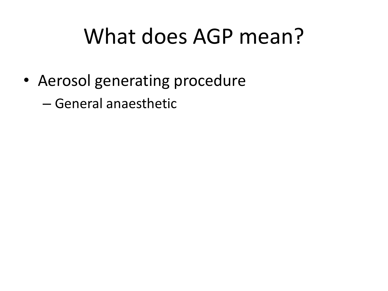### What does AGP mean?

• Aerosol generating procedure

– General anaesthetic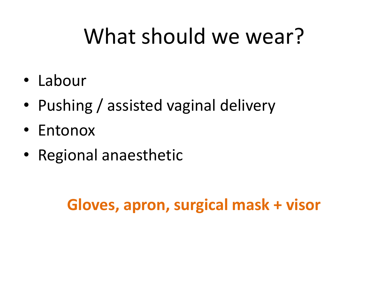### What should we wear?

- Labour
- Pushing / assisted vaginal delivery
- Entonox
- Regional anaesthetic

#### **Gloves, apron, surgical mask + visor**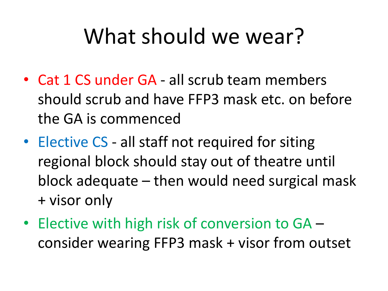### What should we wear?

- Cat 1 CS under GA all scrub team members should scrub and have FFP3 mask etc. on before the GA is commenced
- Elective CS all staff not required for siting regional block should stay out of theatre until block adequate – then would need surgical mask + visor only
- Elective with high risk of conversion to GA consider wearing FFP3 mask + visor from outset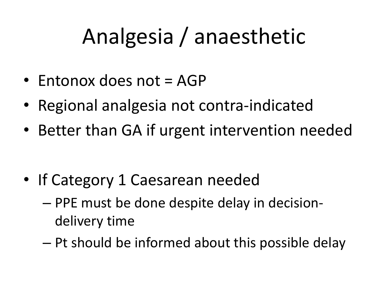# Analgesia / anaesthetic

- Entonox does not = AGP
- Regional analgesia not contra-indicated
- Better than GA if urgent intervention needed

- If Category 1 Caesarean needed
	- PPE must be done despite delay in decisiondelivery time
	- Pt should be informed about this possible delay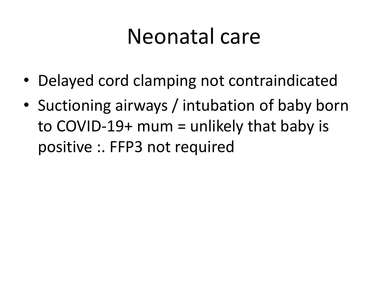#### Neonatal care

- Delayed cord clamping not contraindicated
- Suctioning airways / intubation of baby born to COVID-19+ mum = unlikely that baby is positive :. FFP3 not required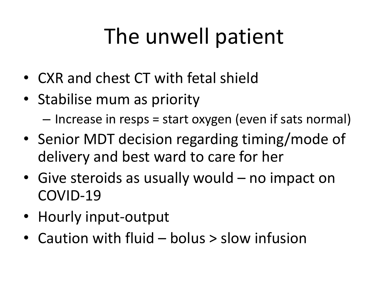# The unwell patient

- CXR and chest CT with fetal shield
- Stabilise mum as priority

– Increase in resps = start oxygen (even if sats normal)

- Senior MDT decision regarding timing/mode of delivery and best ward to care for her
- Give steroids as usually would no impact on COVID-19
- Hourly input-output
- Caution with fluid bolus > slow infusion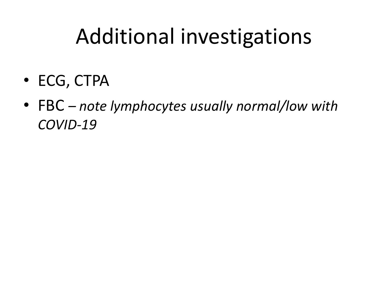### Additional investigations

- ECG, CTPA
- FBC *– note lymphocytes usually normal/low with COVID-19*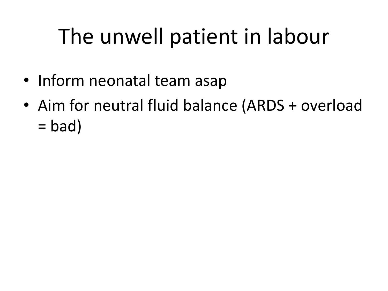# The unwell patient in labour

- Inform neonatal team asap
- Aim for neutral fluid balance (ARDS + overload  $=$  bad)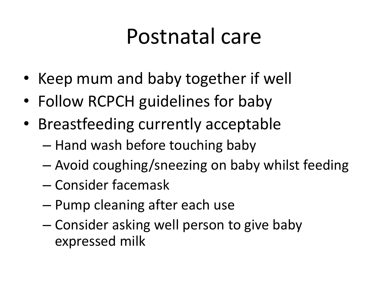#### Postnatal care

- Keep mum and baby together if well
- Follow RCPCH guidelines for baby
- Breastfeeding currently acceptable
	- Hand wash before touching baby
	- Avoid coughing/sneezing on baby whilst feeding
	- Consider facemask
	- Pump cleaning after each use
	- Consider asking well person to give baby expressed milk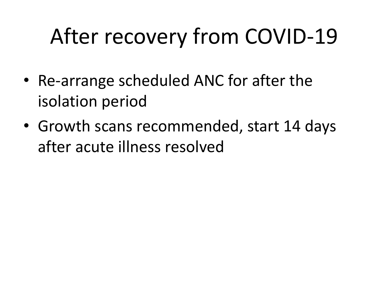# After recovery from COVID-19

- Re-arrange scheduled ANC for after the isolation period
- Growth scans recommended, start 14 days after acute illness resolved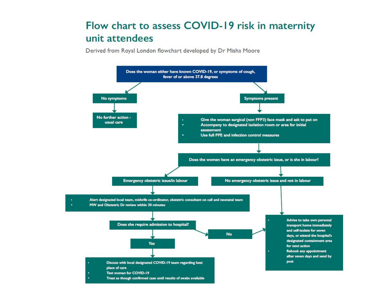#### Flow chart to assess COVID-19 risk in maternity unit attendees

Derived from Royal London flowchart developed by Dr Misha Moore

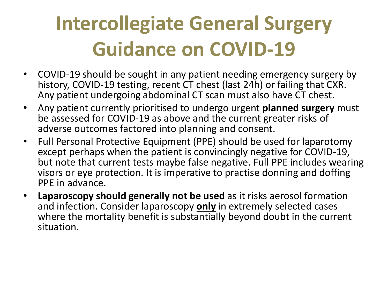#### **Intercollegiate General Surgery Guidance on COVID-19**

- COVID-19 should be sought in any patient needing emergency surgery by history, COVID-19 testing, recent CT chest (last 24h) or failing that CXR. Any patient undergoing abdominal CT scan must also have CT chest.
- Any patient currently prioritised to undergo urgent **planned surgery** must be assessed for COVID-19 as above and the current greater risks of adverse outcomes factored into planning and consent.
- Full Personal Protective Equipment (PPE) should be used for laparotomy except perhaps when the patient is convincingly negative for COVID-19, but note that current tests maybe false negative. Full PPE includes wearing visors or eye protection. It is imperative to practise donning and doffing PPE in advance.
- **Laparoscopy should generally not be used** as it risks aerosol formation and infection. Consider laparoscopy **only** in extremely selected cases where the mortality benefit is substantially beyond doubt in the current situation.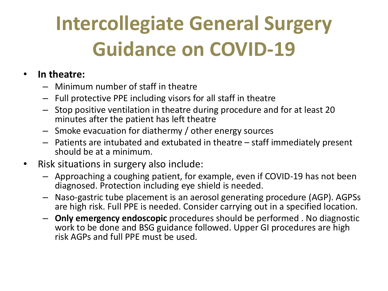### **Intercollegiate General Surgery Guidance on COVID-19**

#### • **In theatre:**

- Minimum number of staff in theatre
- Full protective PPE including visors for all staff in theatre
- Stop positive ventilation in theatre during procedure and for at least 20 minutes after the patient has left theatre
- Smoke evacuation for diathermy / other energy sources
- Patients are intubated and extubated in theatre staff immediately present should be at a minimum.
- Risk situations in surgery also include:
	- Approaching a coughing patient, for example, even if COVID-19 has not been diagnosed. Protection including eye shield is needed.
	- Naso-gastric tube placement is an aerosol generating procedure (AGP). AGPSs are high risk. Full PPE is needed. Consider carrying out in a specified location.
	- **Only emergency endoscopic** procedures should be performed . No diagnostic work to be done and BSG guidance followed. Upper GI procedures are high risk AGPs and full PPE must be used.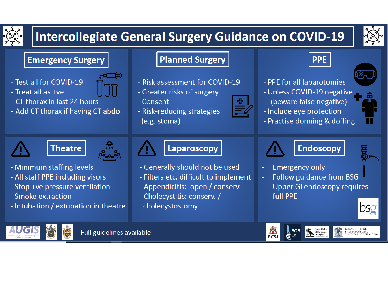